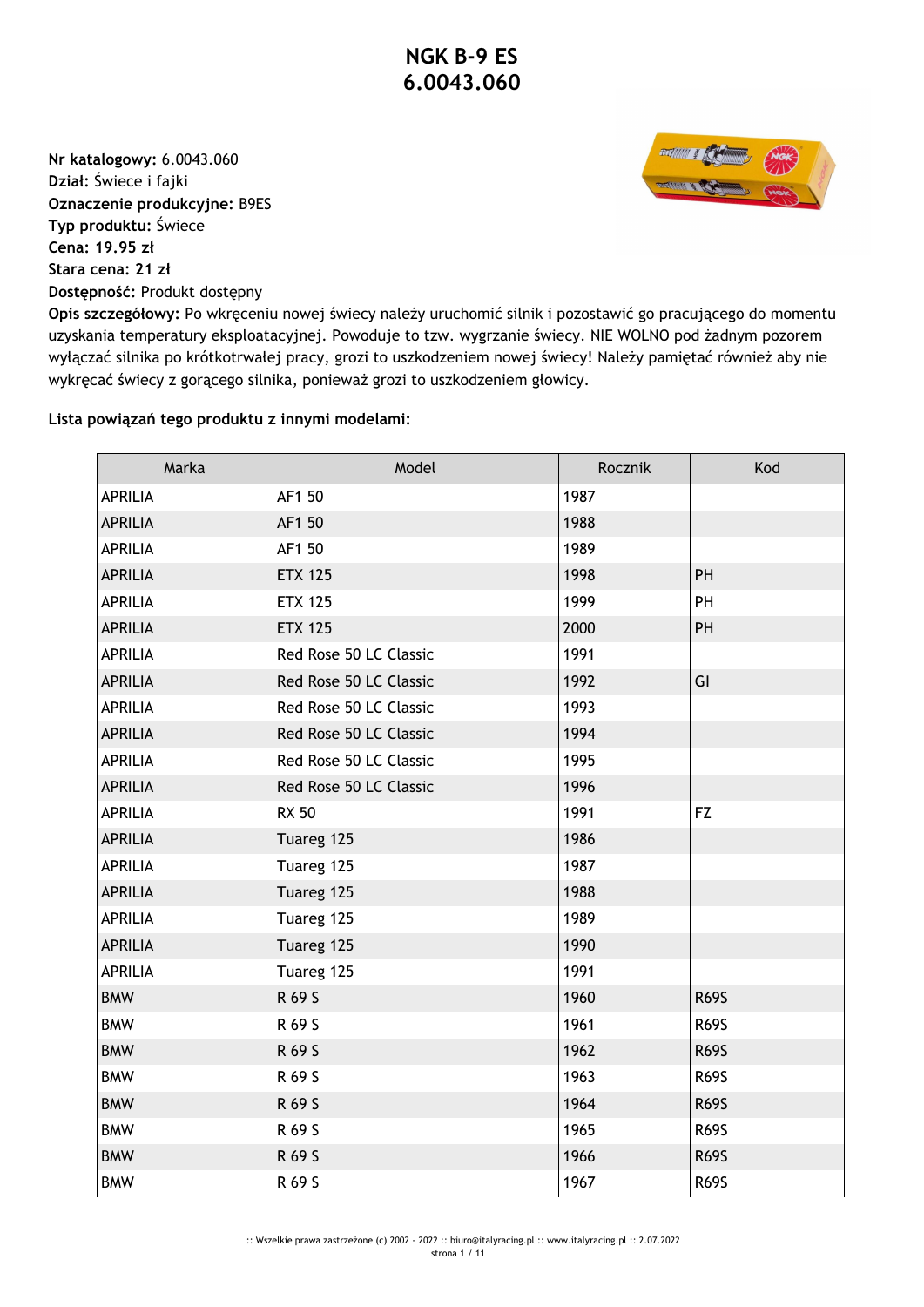**Nr katalogowy:** 6.0043.060 **Dział:** Świece i fajki **Oznaczenie produkcyjne:** B9ES **Typ produktu:** Świece **Cena: 19.95 zł Stara cena: 21 zł Dostępność:** Produkt dostępny



**Opis szczegółowy:** Po wkręceniu nowej świecy należy uruchomić silnik i pozostawić go pracującego do momentu uzyskania temperatury eksploatacyjnej. Powoduje to tzw. wygrzanie świecy. NIE WOLNO pod żadnym pozorem wyłączać silnika po krótkotrwałej pracy, grozi to uszkodzeniem nowej świecy! Należy pamiętać również aby nie wykręcać świecy z gorącego silnika, ponieważ grozi to uszkodzeniem głowicy.

## **Lista powiązań tego produktu z innymi modelami:**

| Marka          | Model                  | Rocznik | Kod         |
|----------------|------------------------|---------|-------------|
| <b>APRILIA</b> | AF1 50                 | 1987    |             |
| <b>APRILIA</b> | AF1 50                 | 1988    |             |
| <b>APRILIA</b> | AF1 50                 | 1989    |             |
| <b>APRILIA</b> | <b>ETX 125</b>         | 1998    | PH          |
| <b>APRILIA</b> | <b>ETX 125</b>         | 1999    | PH          |
| <b>APRILIA</b> | <b>ETX 125</b>         | 2000    | PH          |
| <b>APRILIA</b> | Red Rose 50 LC Classic | 1991    |             |
| <b>APRILIA</b> | Red Rose 50 LC Classic | 1992    | GI          |
| <b>APRILIA</b> | Red Rose 50 LC Classic | 1993    |             |
| <b>APRILIA</b> | Red Rose 50 LC Classic | 1994    |             |
| <b>APRILIA</b> | Red Rose 50 LC Classic | 1995    |             |
| <b>APRILIA</b> | Red Rose 50 LC Classic | 1996    |             |
| <b>APRILIA</b> | <b>RX 50</b>           | 1991    | FZ          |
| <b>APRILIA</b> | Tuareg 125             | 1986    |             |
| <b>APRILIA</b> | Tuareg 125             | 1987    |             |
| <b>APRILIA</b> | Tuareg 125             | 1988    |             |
| <b>APRILIA</b> | Tuareg 125             | 1989    |             |
| <b>APRILIA</b> | Tuareg 125             | 1990    |             |
| <b>APRILIA</b> | Tuareg 125             | 1991    |             |
| <b>BMW</b>     | R 69 S                 | 1960    | <b>R69S</b> |
| <b>BMW</b>     | R 69 S                 | 1961    | <b>R69S</b> |
| <b>BMW</b>     | R 69 S                 | 1962    | <b>R69S</b> |
| <b>BMW</b>     | R 69 S                 | 1963    | <b>R69S</b> |
| <b>BMW</b>     | R 69 S                 | 1964    | <b>R69S</b> |
| <b>BMW</b>     | R 69 S                 | 1965    | <b>R69S</b> |
| <b>BMW</b>     | R 69 S                 | 1966    | <b>R69S</b> |
| <b>BMW</b>     | R 69 S                 | 1967    | <b>R69S</b> |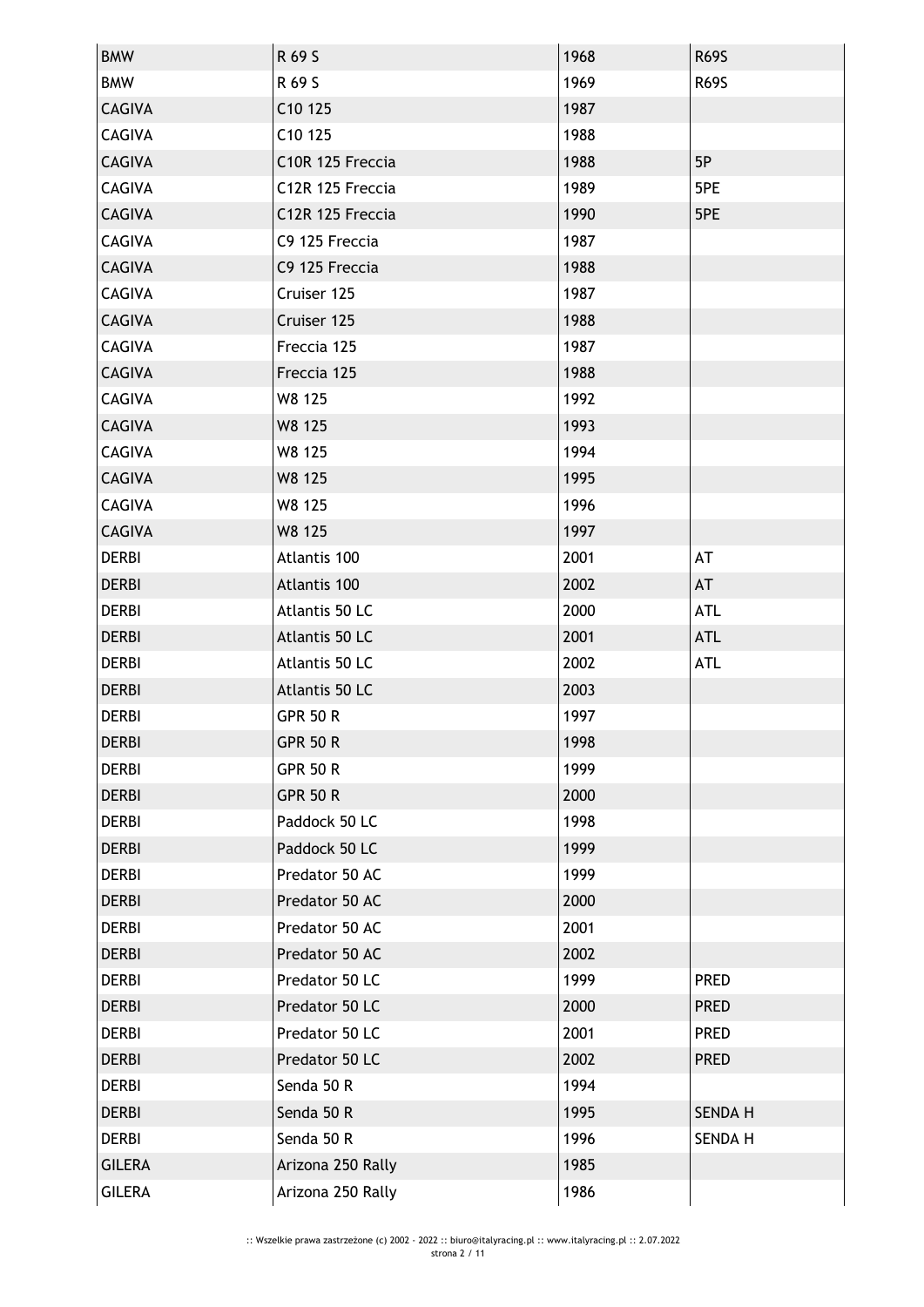| <b>BMW</b>    | R 69 S              | 1968 | <b>R69S</b>    |
|---------------|---------------------|------|----------------|
| <b>BMW</b>    | R 69 S              | 1969 | <b>R69S</b>    |
| <b>CAGIVA</b> | C <sub>10</sub> 125 | 1987 |                |
| <b>CAGIVA</b> | C10 125             | 1988 |                |
| <b>CAGIVA</b> | C10R 125 Freccia    | 1988 | 5P             |
| <b>CAGIVA</b> | C12R 125 Freccia    | 1989 | 5PE            |
| <b>CAGIVA</b> | C12R 125 Freccia    | 1990 | 5PE            |
| <b>CAGIVA</b> | C9 125 Freccia      | 1987 |                |
| <b>CAGIVA</b> | C9 125 Freccia      | 1988 |                |
| <b>CAGIVA</b> | Cruiser 125         | 1987 |                |
| <b>CAGIVA</b> | Cruiser 125         | 1988 |                |
| <b>CAGIVA</b> | Freccia 125         | 1987 |                |
| <b>CAGIVA</b> | Freccia 125         | 1988 |                |
| <b>CAGIVA</b> | W8 125              | 1992 |                |
| <b>CAGIVA</b> | W8 125              | 1993 |                |
| CAGIVA        | W8 125              | 1994 |                |
| <b>CAGIVA</b> | W8 125              | 1995 |                |
| <b>CAGIVA</b> | W8 125              | 1996 |                |
| <b>CAGIVA</b> | W8 125              | 1997 |                |
| <b>DERBI</b>  | Atlantis 100        | 2001 | AT             |
| <b>DERBI</b>  | Atlantis 100        | 2002 | AT             |
| <b>DERBI</b>  | Atlantis 50 LC      | 2000 | <b>ATL</b>     |
| <b>DERBI</b>  | Atlantis 50 LC      | 2001 | <b>ATL</b>     |
| <b>DERBI</b>  | Atlantis 50 LC      | 2002 | <b>ATL</b>     |
| <b>DERBI</b>  | Atlantis 50 LC      | 2003 |                |
| <b>DERBI</b>  | <b>GPR 50 R</b>     | 1997 |                |
| <b>DERBI</b>  | <b>GPR 50 R</b>     | 1998 |                |
| <b>DERBI</b>  | <b>GPR 50 R</b>     | 1999 |                |
| <b>DERBI</b>  | <b>GPR 50 R</b>     | 2000 |                |
| <b>DERBI</b>  | Paddock 50 LC       | 1998 |                |
| <b>DERBI</b>  | Paddock 50 LC       | 1999 |                |
| <b>DERBI</b>  | Predator 50 AC      | 1999 |                |
| <b>DERBI</b>  | Predator 50 AC      | 2000 |                |
| <b>DERBI</b>  | Predator 50 AC      | 2001 |                |
| <b>DERBI</b>  | Predator 50 AC      | 2002 |                |
| <b>DERBI</b>  | Predator 50 LC      | 1999 | <b>PRED</b>    |
| <b>DERBI</b>  | Predator 50 LC      | 2000 | <b>PRED</b>    |
| <b>DERBI</b>  | Predator 50 LC      | 2001 | <b>PRED</b>    |
| <b>DERBI</b>  | Predator 50 LC      | 2002 | <b>PRED</b>    |
| <b>DERBI</b>  | Senda 50 R          | 1994 |                |
| <b>DERBI</b>  | Senda 50 R          | 1995 | <b>SENDA H</b> |
| <b>DERBI</b>  | Senda 50 R          | 1996 | SENDA H        |
| <b>GILERA</b> | Arizona 250 Rally   | 1985 |                |
| <b>GILERA</b> | Arizona 250 Rally   | 1986 |                |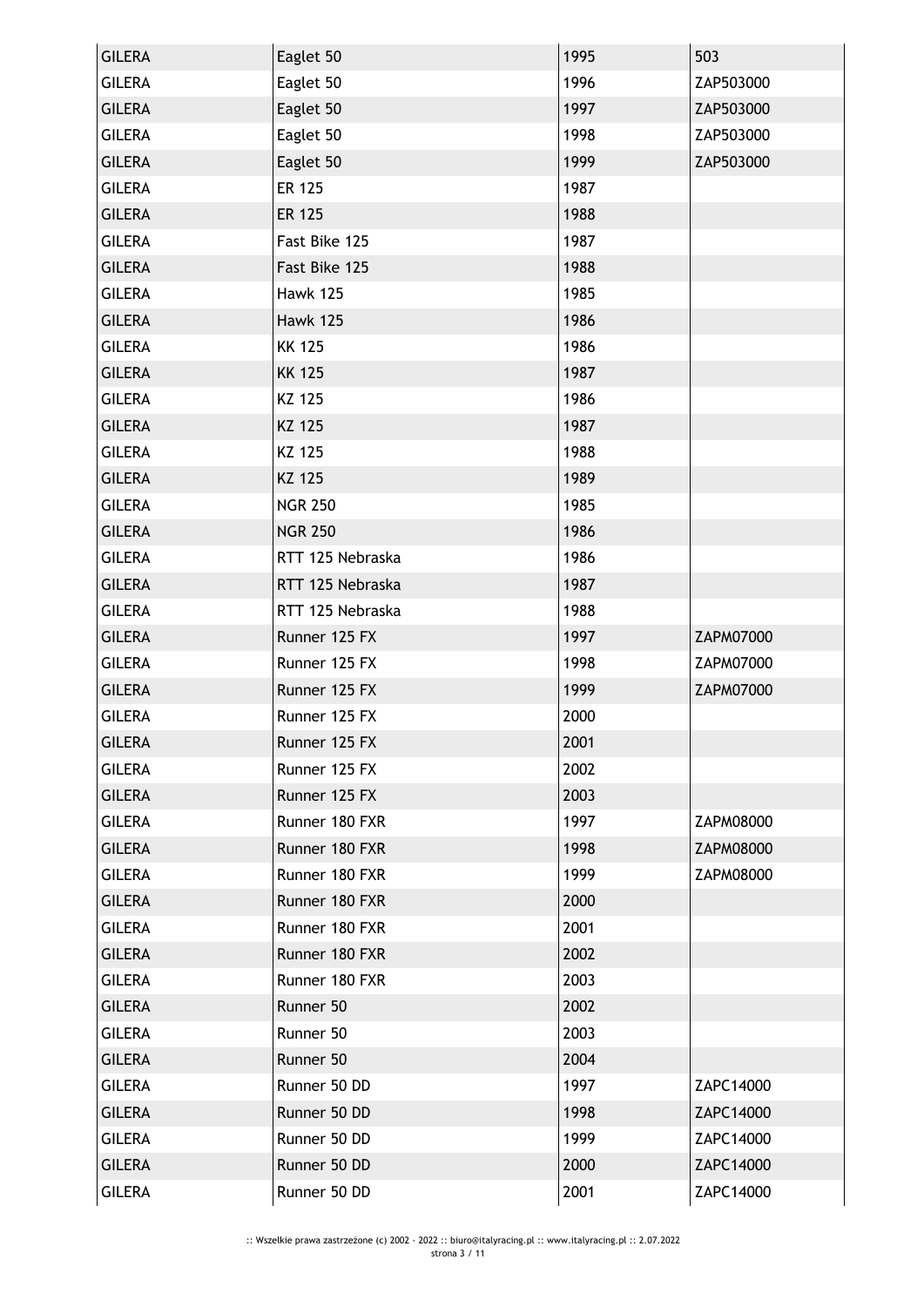| <b>GILERA</b> | Eaglet 50        | 1995 | 503       |
|---------------|------------------|------|-----------|
| <b>GILERA</b> | Eaglet 50        | 1996 | ZAP503000 |
| <b>GILERA</b> | Eaglet 50        | 1997 | ZAP503000 |
| <b>GILERA</b> | Eaglet 50        | 1998 | ZAP503000 |
| <b>GILERA</b> | Eaglet 50        | 1999 | ZAP503000 |
| <b>GILERA</b> | <b>ER 125</b>    | 1987 |           |
| <b>GILERA</b> | <b>ER 125</b>    | 1988 |           |
| <b>GILERA</b> | Fast Bike 125    | 1987 |           |
| <b>GILERA</b> | Fast Bike 125    | 1988 |           |
| <b>GILERA</b> | <b>Hawk 125</b>  | 1985 |           |
| <b>GILERA</b> | <b>Hawk 125</b>  | 1986 |           |
| <b>GILERA</b> | <b>KK 125</b>    | 1986 |           |
| <b>GILERA</b> | <b>KK 125</b>    | 1987 |           |
| <b>GILERA</b> | KZ 125           | 1986 |           |
| <b>GILERA</b> | KZ 125           | 1987 |           |
| <b>GILERA</b> | KZ 125           | 1988 |           |
| <b>GILERA</b> | KZ 125           | 1989 |           |
| <b>GILERA</b> | <b>NGR 250</b>   | 1985 |           |
| <b>GILERA</b> | <b>NGR 250</b>   | 1986 |           |
| <b>GILERA</b> | RTT 125 Nebraska | 1986 |           |
| <b>GILERA</b> | RTT 125 Nebraska | 1987 |           |
| <b>GILERA</b> | RTT 125 Nebraska | 1988 |           |
| <b>GILERA</b> | Runner 125 FX    | 1997 | ZAPM07000 |
| <b>GILERA</b> | Runner 125 FX    | 1998 | ZAPM07000 |
| <b>GILERA</b> | Runner 125 FX    | 1999 | ZAPM07000 |
| <b>GILERA</b> | Runner 125 FX    | 2000 |           |
| <b>GILERA</b> | Runner 125 FX    | 2001 |           |
| <b>GILERA</b> | Runner 125 FX    | 2002 |           |
| <b>GILERA</b> | Runner 125 FX    | 2003 |           |
| <b>GILERA</b> | Runner 180 FXR   | 1997 | ZAPM08000 |
| <b>GILERA</b> | Runner 180 FXR   | 1998 | ZAPM08000 |
| <b>GILERA</b> | Runner 180 FXR   | 1999 | ZAPM08000 |
| <b>GILERA</b> | Runner 180 FXR   | 2000 |           |
| <b>GILERA</b> | Runner 180 FXR   | 2001 |           |
| <b>GILERA</b> | Runner 180 FXR   | 2002 |           |
| <b>GILERA</b> | Runner 180 FXR   | 2003 |           |
| <b>GILERA</b> | Runner 50        | 2002 |           |
| <b>GILERA</b> | Runner 50        | 2003 |           |
| <b>GILERA</b> | Runner 50        | 2004 |           |
| <b>GILERA</b> | Runner 50 DD     | 1997 | ZAPC14000 |
| <b>GILERA</b> | Runner 50 DD     | 1998 | ZAPC14000 |
| <b>GILERA</b> | Runner 50 DD     | 1999 | ZAPC14000 |
| <b>GILERA</b> | Runner 50 DD     | 2000 | ZAPC14000 |
| <b>GILERA</b> | Runner 50 DD     | 2001 | ZAPC14000 |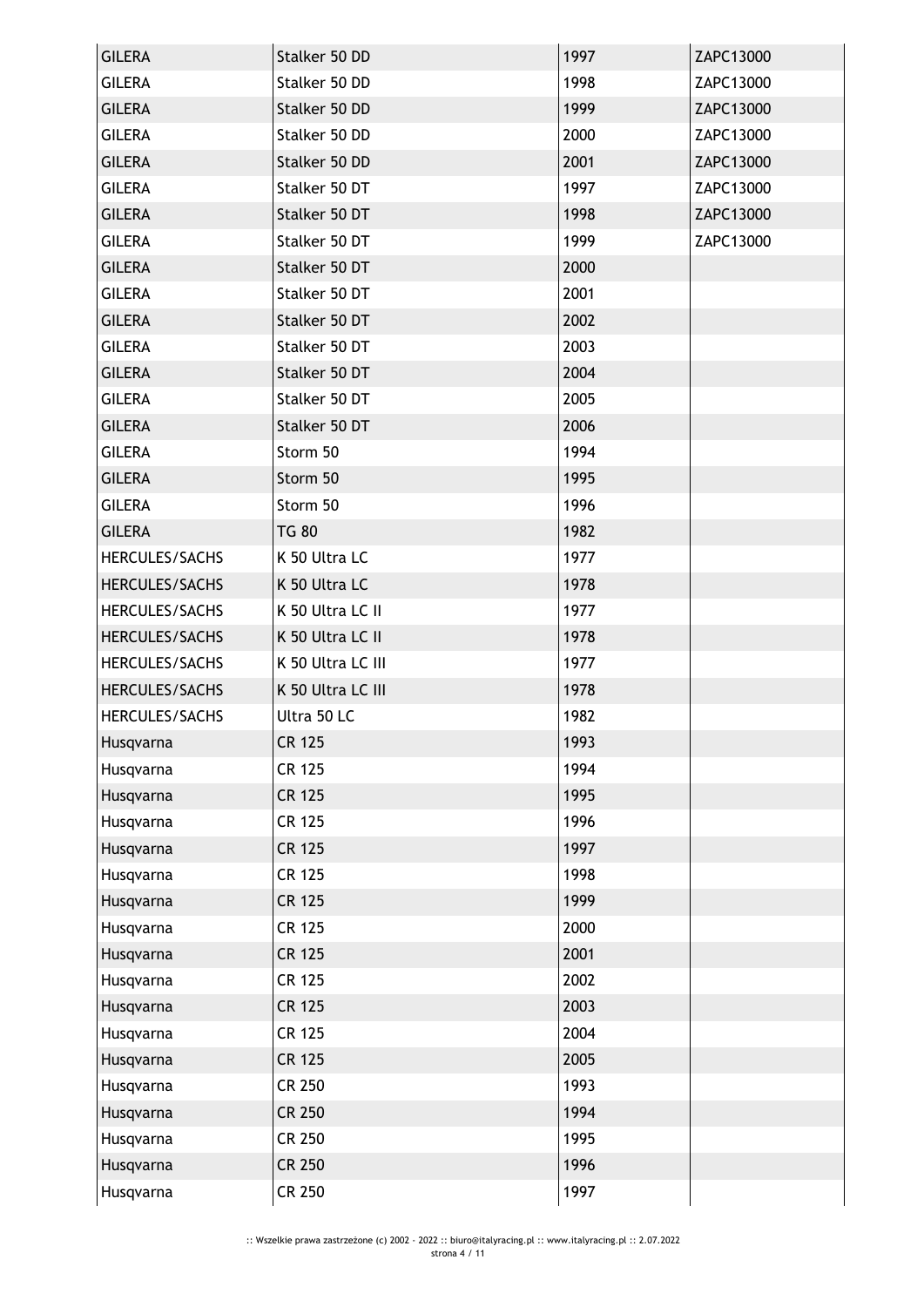| <b>GILERA</b>  | Stalker 50 DD<br>Stalker 50 DD | 1997 | ZAPC13000 |
|----------------|--------------------------------|------|-----------|
| <b>GILERA</b>  | Stalker 50 DD                  | 1998 | ZAPC13000 |
| <b>GILERA</b>  |                                | 1999 | ZAPC13000 |
| <b>GILERA</b>  | Stalker 50 DD                  | 2000 | ZAPC13000 |
| <b>GILERA</b>  | Stalker 50 DD                  | 2001 | ZAPC13000 |
| <b>GILERA</b>  | Stalker 50 DT                  | 1997 | ZAPC13000 |
| <b>GILERA</b>  | Stalker 50 DT                  | 1998 | ZAPC13000 |
| <b>GILERA</b>  | Stalker 50 DT                  | 1999 | ZAPC13000 |
| <b>GILERA</b>  | Stalker 50 DT                  | 2000 |           |
| <b>GILERA</b>  | Stalker 50 DT                  | 2001 |           |
| <b>GILERA</b>  | Stalker 50 DT                  | 2002 |           |
| <b>GILERA</b>  | Stalker 50 DT                  | 2003 |           |
| <b>GILERA</b>  | Stalker 50 DT                  | 2004 |           |
| <b>GILERA</b>  | Stalker 50 DT                  | 2005 |           |
| <b>GILERA</b>  | Stalker 50 DT                  | 2006 |           |
| <b>GILERA</b>  | Storm 50                       | 1994 |           |
| <b>GILERA</b>  | Storm 50                       | 1995 |           |
| <b>GILERA</b>  | Storm 50                       | 1996 |           |
| <b>GILERA</b>  | <b>TG 80</b>                   | 1982 |           |
| HERCULES/SACHS | K 50 Ultra LC                  | 1977 |           |
| HERCULES/SACHS | K 50 Ultra LC                  | 1978 |           |
| HERCULES/SACHS | K 50 Ultra LC II               | 1977 |           |
| HERCULES/SACHS | K 50 Ultra LC II               | 1978 |           |
| HERCULES/SACHS | K 50 Ultra LC III              | 1977 |           |
| HERCULES/SACHS | K 50 Ultra LC III              | 1978 |           |
| HERCULES/SACHS | Ultra 50 LC                    | 1982 |           |
| Husqvarna      | <b>CR 125</b>                  | 1993 |           |
| Husqvarna      | <b>CR 125</b>                  | 1994 |           |
| Husqvarna      | <b>CR 125</b>                  | 1995 |           |
| Husqvarna      | <b>CR 125</b>                  | 1996 |           |
| Husqvarna      | <b>CR 125</b>                  | 1997 |           |
| Husqvarna      | <b>CR 125</b>                  | 1998 |           |
| Husqvarna      | <b>CR 125</b>                  | 1999 |           |
| Husqvarna      | <b>CR 125</b>                  | 2000 |           |
| Husqvarna      | <b>CR 125</b>                  | 2001 |           |
| Husqvarna      | <b>CR 125</b>                  | 2002 |           |
| Husqvarna      | <b>CR 125</b>                  | 2003 |           |
| Husqvarna      | <b>CR 125</b>                  | 2004 |           |
| Husqvarna      | <b>CR 125</b>                  | 2005 |           |
| Husqvarna      | <b>CR 250</b>                  | 1993 |           |
| Husqvarna      | <b>CR 250</b>                  | 1994 |           |
| Husqvarna      | <b>CR 250</b>                  | 1995 |           |
| Husqvarna      | <b>CR 250</b>                  | 1996 |           |
| Husqvarna      | <b>CR 250</b>                  | 1997 |           |
|                |                                |      |           |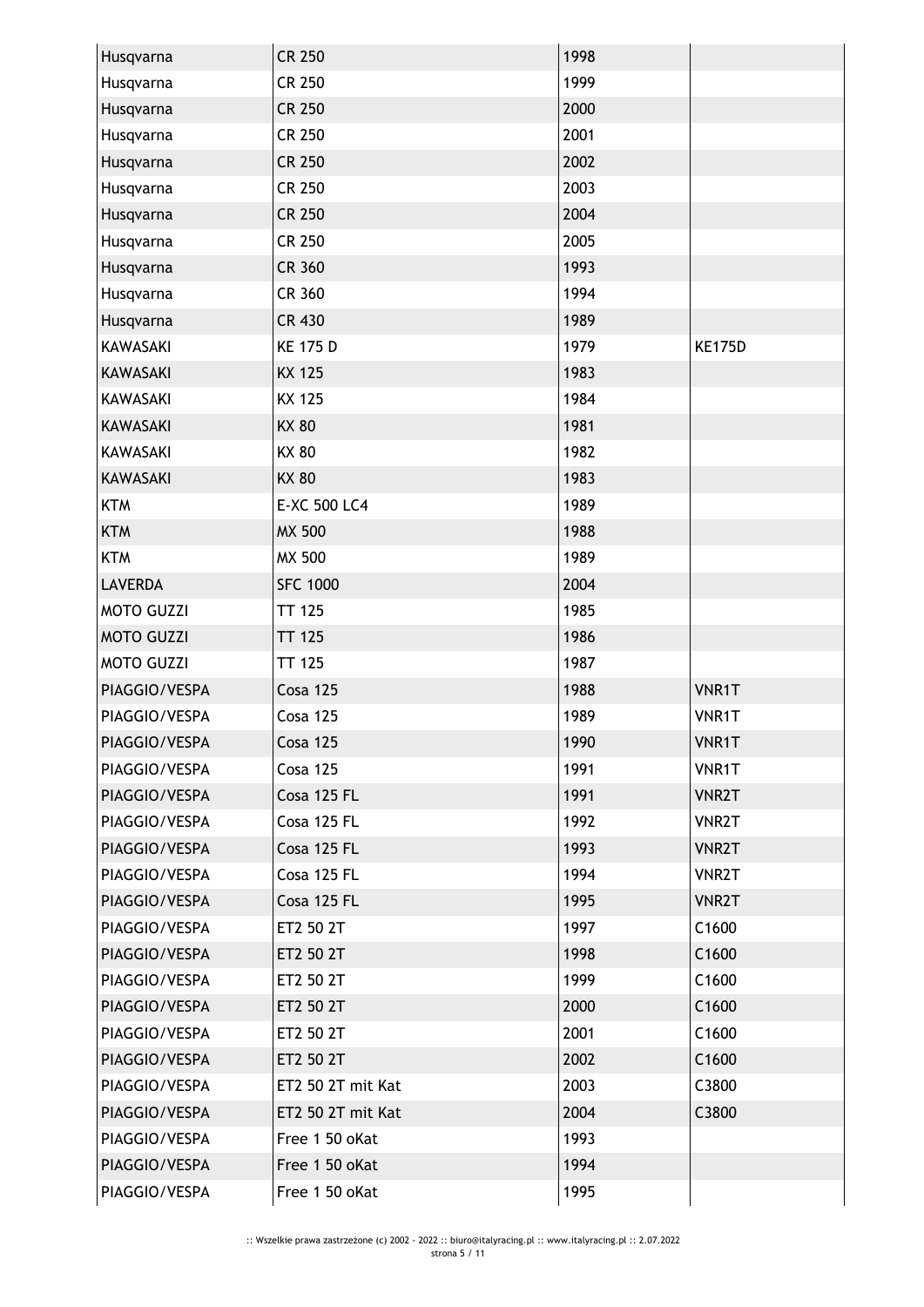| Husqvarna         | <b>CR 250</b>     | 1998 |               |
|-------------------|-------------------|------|---------------|
| Husqvarna         | <b>CR 250</b>     | 1999 |               |
| Husqvarna         | <b>CR 250</b>     | 2000 |               |
| Husqvarna         | <b>CR 250</b>     | 2001 |               |
| Husqvarna         | <b>CR 250</b>     | 2002 |               |
| Husqvarna         | <b>CR 250</b>     | 2003 |               |
| Husqvarna         | <b>CR 250</b>     | 2004 |               |
| Husqvarna         | <b>CR 250</b>     | 2005 |               |
| Husqvarna         | <b>CR 360</b>     | 1993 |               |
| Husqvarna         | CR 360            | 1994 |               |
| Husqvarna         | <b>CR 430</b>     | 1989 |               |
| <b>KAWASAKI</b>   | <b>KE 175 D</b>   | 1979 | <b>KE175D</b> |
| <b>KAWASAKI</b>   | <b>KX 125</b>     | 1983 |               |
| <b>KAWASAKI</b>   | <b>KX 125</b>     | 1984 |               |
| <b>KAWASAKI</b>   | <b>KX 80</b>      | 1981 |               |
| KAWASAKI          | <b>KX 80</b>      | 1982 |               |
| <b>KAWASAKI</b>   | <b>KX 80</b>      | 1983 |               |
| <b>KTM</b>        | E-XC 500 LC4      | 1989 |               |
| <b>KTM</b>        | <b>MX 500</b>     | 1988 |               |
| <b>KTM</b>        | <b>MX 500</b>     | 1989 |               |
| <b>LAVERDA</b>    | <b>SFC 1000</b>   | 2004 |               |
| <b>MOTO GUZZI</b> | <b>TT 125</b>     | 1985 |               |
| <b>MOTO GUZZI</b> | <b>TT 125</b>     | 1986 |               |
| <b>MOTO GUZZI</b> | <b>TT 125</b>     | 1987 |               |
| PIAGGIO/VESPA     | <b>Cosa 125</b>   | 1988 | VNR1T         |
| PIAGGIO/VESPA     | <b>Cosa 125</b>   | 1989 | VNR1T         |
| PIAGGIO/VESPA     | <b>Cosa 125</b>   | 1990 | VNR1T         |
| PIAGGIO/VESPA     | Cosa 125          | 1991 | VNR1T         |
| PIAGGIO/VESPA     | Cosa 125 FL       | 1991 | <b>VNR2T</b>  |
| PIAGGIO/VESPA     | Cosa 125 FL       | 1992 | <b>VNR2T</b>  |
| PIAGGIO/VESPA     | Cosa 125 FL       | 1993 | <b>VNR2T</b>  |
| PIAGGIO/VESPA     | Cosa 125 FL       | 1994 | <b>VNR2T</b>  |
| PIAGGIO/VESPA     | Cosa 125 FL       | 1995 | <b>VNR2T</b>  |
| PIAGGIO/VESPA     | ET2 50 2T         | 1997 | C1600         |
| PIAGGIO/VESPA     | ET2 50 2T         | 1998 | C1600         |
| PIAGGIO/VESPA     | ET2 50 2T         | 1999 | C1600         |
| PIAGGIO/VESPA     | ET2 50 2T         | 2000 | C1600         |
| PIAGGIO/VESPA     | ET2 50 2T         | 2001 | C1600         |
| PIAGGIO/VESPA     | ET2 50 2T         | 2002 | C1600         |
| PIAGGIO/VESPA     | ET2 50 2T mit Kat | 2003 | C3800         |
| PIAGGIO/VESPA     | ET2 50 2T mit Kat | 2004 | C3800         |
| PIAGGIO/VESPA     | Free 1 50 oKat    | 1993 |               |
| PIAGGIO/VESPA     |                   |      |               |
|                   | Free 1 50 oKat    | 1994 |               |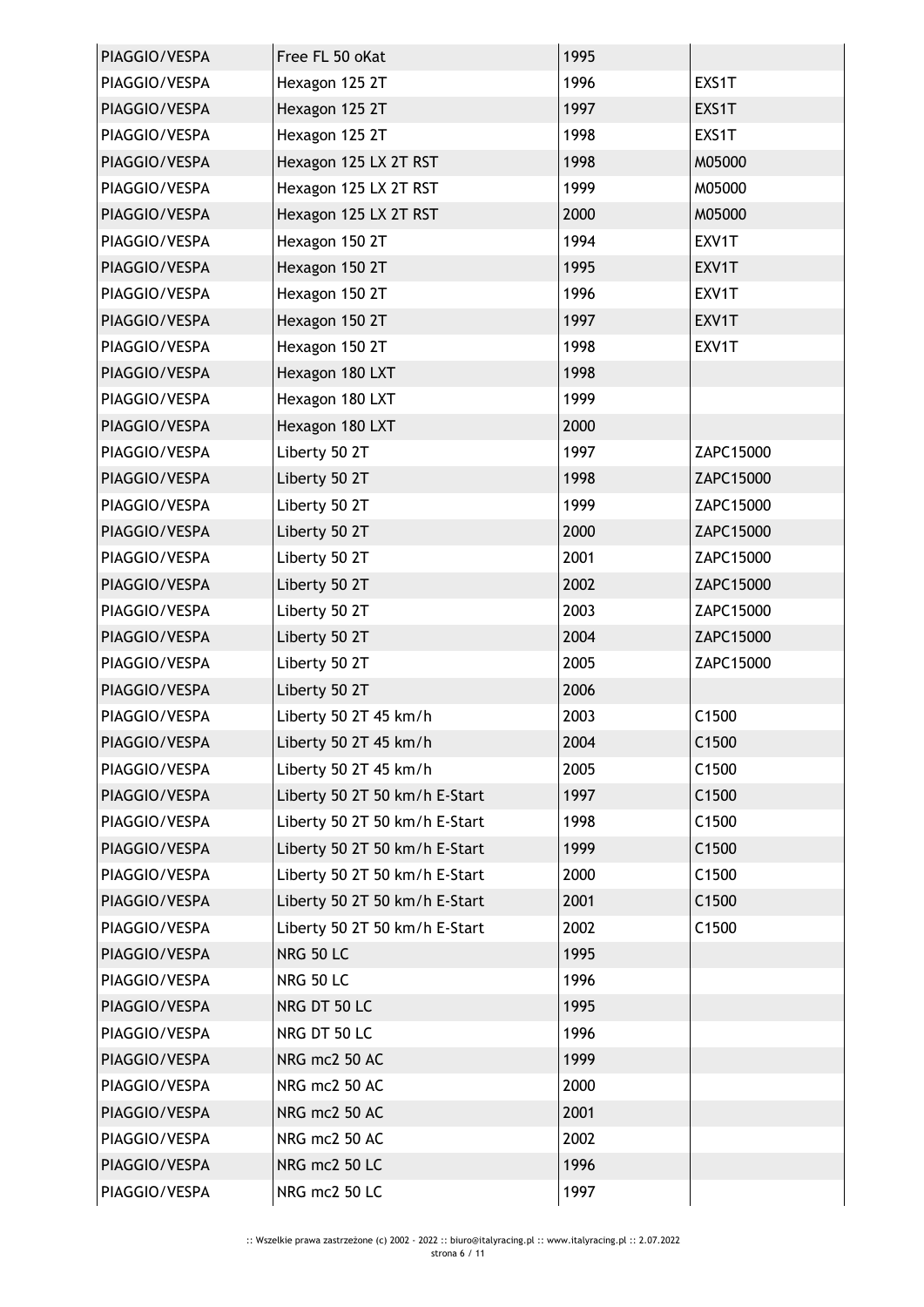| PIAGGIO/VESPA | Free FL 50 oKat               | 1995 |                   |
|---------------|-------------------------------|------|-------------------|
| PIAGGIO/VESPA | Hexagon 125 2T                | 1996 | EXS1T             |
| PIAGGIO/VESPA | Hexagon 125 2T                | 1997 | EXS1T             |
| PIAGGIO/VESPA | Hexagon 125 2T                | 1998 | EXS1T             |
| PIAGGIO/VESPA | Hexagon 125 LX 2T RST         | 1998 | M05000            |
| PIAGGIO/VESPA | Hexagon 125 LX 2T RST         | 1999 | M05000            |
| PIAGGIO/VESPA | Hexagon 125 LX 2T RST         | 2000 | M05000            |
| PIAGGIO/VESPA | Hexagon 150 2T                | 1994 | EXV1T             |
| PIAGGIO/VESPA | Hexagon 150 2T                | 1995 | EXV1T             |
| PIAGGIO/VESPA | Hexagon 150 2T                | 1996 | EXV1T             |
| PIAGGIO/VESPA | Hexagon 150 2T                | 1997 | EXV1T             |
| PIAGGIO/VESPA | Hexagon 150 2T                | 1998 | EXV1T             |
| PIAGGIO/VESPA | Hexagon 180 LXT               | 1998 |                   |
| PIAGGIO/VESPA | Hexagon 180 LXT               | 1999 |                   |
| PIAGGIO/VESPA | Hexagon 180 LXT               | 2000 |                   |
| PIAGGIO/VESPA | Liberty 50 2T                 | 1997 | ZAPC15000         |
| PIAGGIO/VESPA | Liberty 50 2T                 | 1998 | ZAPC15000         |
| PIAGGIO/VESPA | Liberty 50 2T                 | 1999 | ZAPC15000         |
| PIAGGIO/VESPA | Liberty 50 2T                 | 2000 | ZAPC15000         |
| PIAGGIO/VESPA | Liberty 50 2T                 | 2001 | ZAPC15000         |
| PIAGGIO/VESPA | Liberty 50 2T                 | 2002 | ZAPC15000         |
| PIAGGIO/VESPA | Liberty 50 2T                 | 2003 | ZAPC15000         |
| PIAGGIO/VESPA | Liberty 50 2T                 | 2004 | ZAPC15000         |
| PIAGGIO/VESPA | Liberty 50 2T                 | 2005 | ZAPC15000         |
| PIAGGIO/VESPA | Liberty 50 2T                 | 2006 |                   |
| PIAGGIO/VESPA | Liberty 50 2T 45 km/h         | 2003 | C1500             |
| PIAGGIO/VESPA | Liberty 50 2T 45 km/h         | 2004 | C <sub>1500</sub> |
| PIAGGIO/VESPA | Liberty 50 2T 45 km/h         | 2005 | C1500             |
| PIAGGIO/VESPA | Liberty 50 2T 50 km/h E-Start | 1997 | C1500             |
| PIAGGIO/VESPA | Liberty 50 2T 50 km/h E-Start | 1998 | C1500             |
| PIAGGIO/VESPA | Liberty 50 2T 50 km/h E-Start | 1999 | C1500             |
| PIAGGIO/VESPA | Liberty 50 2T 50 km/h E-Start | 2000 | C1500             |
| PIAGGIO/VESPA | Liberty 50 2T 50 km/h E-Start | 2001 | C1500             |
| PIAGGIO/VESPA | Liberty 50 2T 50 km/h E-Start | 2002 | C1500             |
| PIAGGIO/VESPA | <b>NRG 50 LC</b>              | 1995 |                   |
| PIAGGIO/VESPA | <b>NRG 50 LC</b>              | 1996 |                   |
| PIAGGIO/VESPA | NRG DT 50 LC                  | 1995 |                   |
| PIAGGIO/VESPA | NRG DT 50 LC                  | 1996 |                   |
| PIAGGIO/VESPA | NRG mc2 50 AC                 | 1999 |                   |
| PIAGGIO/VESPA | NRG mc2 50 AC                 | 2000 |                   |
| PIAGGIO/VESPA | NRG mc2 50 AC                 | 2001 |                   |
| PIAGGIO/VESPA | NRG mc2 50 AC                 | 2002 |                   |
| PIAGGIO/VESPA | NRG mc2 50 LC                 | 1996 |                   |
| PIAGGIO/VESPA | NRG mc2 50 LC                 | 1997 |                   |
|               |                               |      |                   |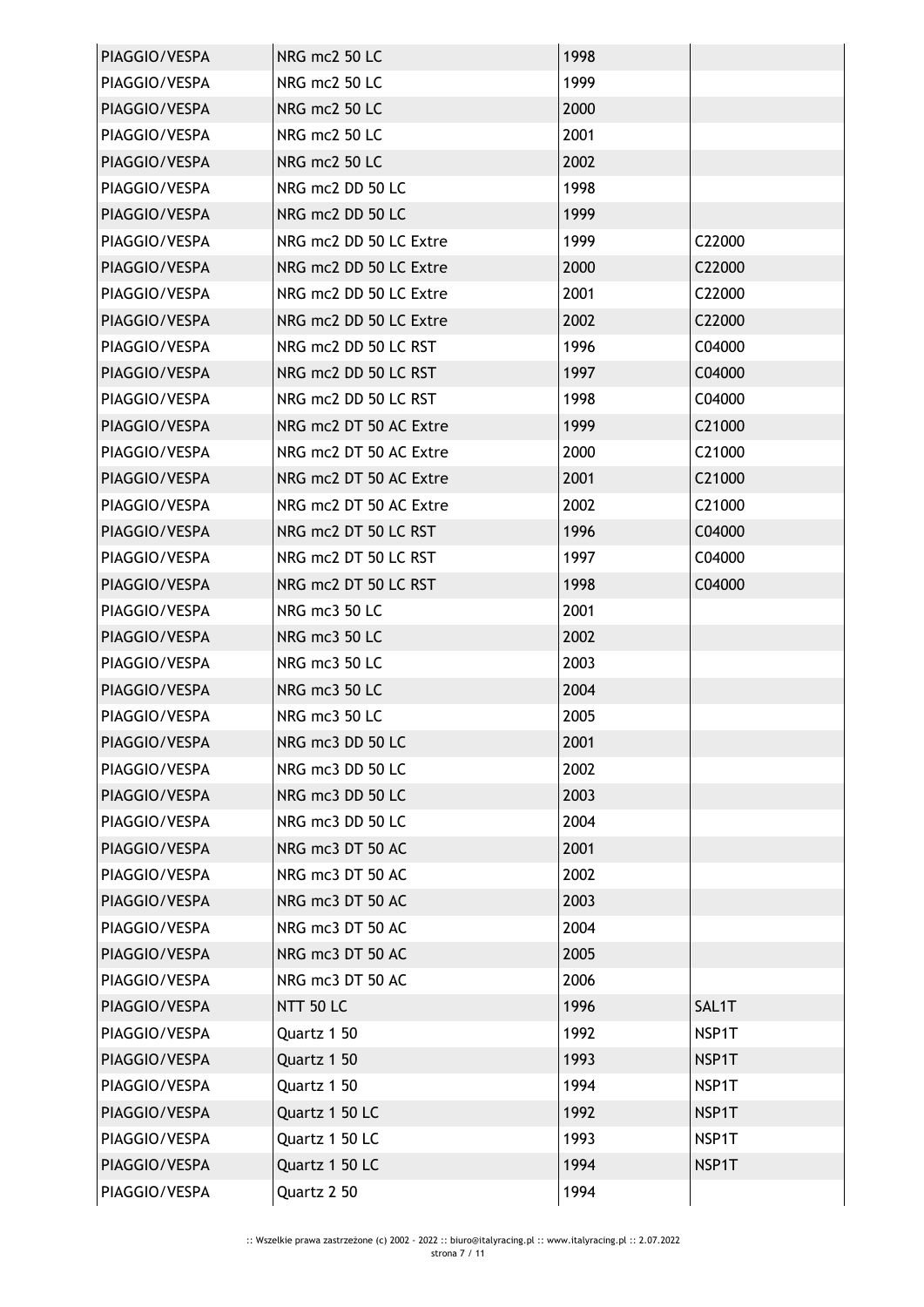| PIAGGIO/VESPA | NRG mc2 50 LC          | 1998 |        |
|---------------|------------------------|------|--------|
| PIAGGIO/VESPA | NRG mc2 50 LC          | 1999 |        |
| PIAGGIO/VESPA | NRG mc2 50 LC          | 2000 |        |
| PIAGGIO/VESPA | NRG mc2 50 LC          | 2001 |        |
| PIAGGIO/VESPA | NRG mc2 50 LC          | 2002 |        |
| PIAGGIO/VESPA | NRG mc2 DD 50 LC       | 1998 |        |
| PIAGGIO/VESPA | NRG mc2 DD 50 LC       | 1999 |        |
| PIAGGIO/VESPA | NRG mc2 DD 50 LC Extre | 1999 | C22000 |
| PIAGGIO/VESPA | NRG mc2 DD 50 LC Extre | 2000 | C22000 |
| PIAGGIO/VESPA | NRG mc2 DD 50 LC Extre | 2001 | C22000 |
| PIAGGIO/VESPA | NRG mc2 DD 50 LC Extre | 2002 | C22000 |
| PIAGGIO/VESPA | NRG mc2 DD 50 LC RST   | 1996 | C04000 |
| PIAGGIO/VESPA | NRG mc2 DD 50 LC RST   | 1997 | C04000 |
| PIAGGIO/VESPA | NRG mc2 DD 50 LC RST   | 1998 | C04000 |
| PIAGGIO/VESPA | NRG mc2 DT 50 AC Extre | 1999 | C21000 |
| PIAGGIO/VESPA | NRG mc2 DT 50 AC Extre | 2000 | C21000 |
| PIAGGIO/VESPA | NRG mc2 DT 50 AC Extre | 2001 | C21000 |
| PIAGGIO/VESPA | NRG mc2 DT 50 AC Extre | 2002 | C21000 |
| PIAGGIO/VESPA | NRG mc2 DT 50 LC RST   | 1996 | C04000 |
| PIAGGIO/VESPA | NRG mc2 DT 50 LC RST   | 1997 | C04000 |
| PIAGGIO/VESPA | NRG mc2 DT 50 LC RST   | 1998 | C04000 |
| PIAGGIO/VESPA | NRG mc3 50 LC          | 2001 |        |
| PIAGGIO/VESPA | NRG mc3 50 LC          | 2002 |        |
| PIAGGIO/VESPA | NRG mc3 50 LC          | 2003 |        |
| PIAGGIO/VESPA | NRG mc3 50 LC          | 2004 |        |
| PIAGGIO/VESPA | NRG mc3 50 LC          | 2005 |        |
| PIAGGIO/VESPA | NRG mc3 DD 50 LC       | 2001 |        |
| PIAGGIO/VESPA | NRG mc3 DD 50 LC       | 2002 |        |
| PIAGGIO/VESPA | NRG mc3 DD 50 LC       | 2003 |        |
| PIAGGIO/VESPA | NRG mc3 DD 50 LC       | 2004 |        |
| PIAGGIO/VESPA | NRG mc3 DT 50 AC       | 2001 |        |
| PIAGGIO/VESPA | NRG mc3 DT 50 AC       | 2002 |        |
| PIAGGIO/VESPA | NRG mc3 DT 50 AC       | 2003 |        |
| PIAGGIO/VESPA | NRG mc3 DT 50 AC       | 2004 |        |
| PIAGGIO/VESPA | NRG mc3 DT 50 AC       | 2005 |        |
| PIAGGIO/VESPA | NRG mc3 DT 50 AC       | 2006 |        |
| PIAGGIO/VESPA | <b>NTT 50 LC</b>       | 1996 | SAL1T  |
| PIAGGIO/VESPA | Quartz 1 50            | 1992 | NSP1T  |
| PIAGGIO/VESPA | Quartz 1 50            | 1993 | NSP1T  |
| PIAGGIO/VESPA | Quartz 1 50            | 1994 | NSP1T  |
| PIAGGIO/VESPA | Quartz 1 50 LC         | 1992 | NSP1T  |
| PIAGGIO/VESPA | Quartz 1 50 LC         | 1993 | NSP1T  |
| PIAGGIO/VESPA | Quartz 1 50 LC         | 1994 | NSP1T  |
| PIAGGIO/VESPA | Quartz 2 50            | 1994 |        |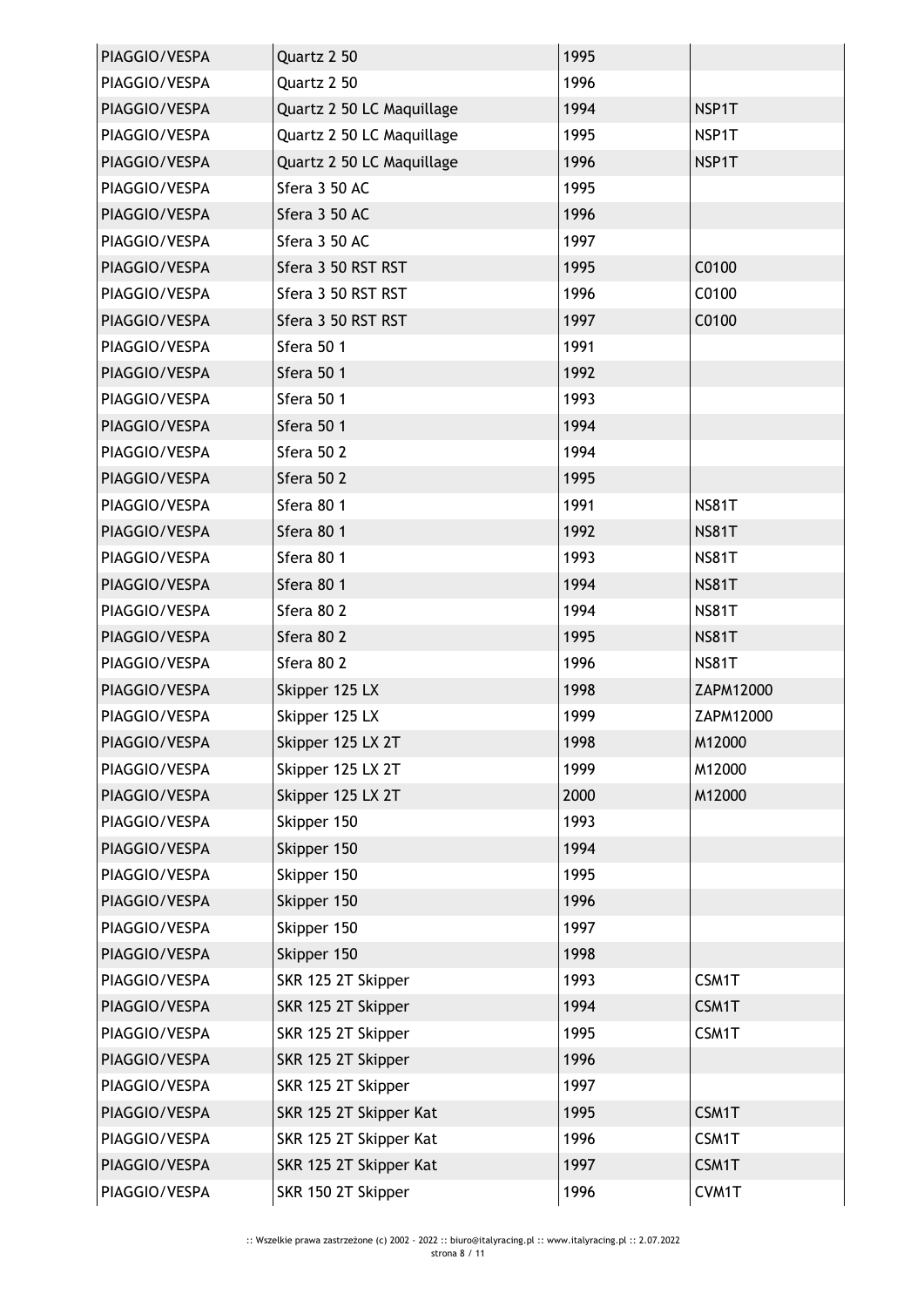| PIAGGIO/VESPA | Quartz 2 50               | 1995 |              |
|---------------|---------------------------|------|--------------|
| PIAGGIO/VESPA | Quartz 2 50               | 1996 |              |
| PIAGGIO/VESPA | Quartz 2 50 LC Maquillage | 1994 | NSP1T        |
| PIAGGIO/VESPA | Quartz 2 50 LC Maquillage | 1995 | NSP1T        |
| PIAGGIO/VESPA | Quartz 2 50 LC Maquillage | 1996 | NSP1T        |
| PIAGGIO/VESPA | Sfera 3 50 AC             | 1995 |              |
| PIAGGIO/VESPA | Sfera 3 50 AC             | 1996 |              |
| PIAGGIO/VESPA | Sfera 3 50 AC             | 1997 |              |
| PIAGGIO/VESPA | Sfera 3 50 RST RST        | 1995 | C0100        |
| PIAGGIO/VESPA | Sfera 3 50 RST RST        | 1996 | C0100        |
| PIAGGIO/VESPA | Sfera 3 50 RST RST        | 1997 | C0100        |
| PIAGGIO/VESPA | Sfera 50 1                | 1991 |              |
| PIAGGIO/VESPA | Sfera 50 1                | 1992 |              |
| PIAGGIO/VESPA | Sfera 50 1                | 1993 |              |
| PIAGGIO/VESPA | Sfera 50 1                | 1994 |              |
| PIAGGIO/VESPA | Sfera 50 2                | 1994 |              |
| PIAGGIO/VESPA | Sfera 50 2                | 1995 |              |
| PIAGGIO/VESPA | Sfera 80 1                | 1991 | <b>NS81T</b> |
| PIAGGIO/VESPA | Sfera 80 1                | 1992 | <b>NS81T</b> |
| PIAGGIO/VESPA | Sfera 80 1                | 1993 | <b>NS81T</b> |
| PIAGGIO/VESPA | Sfera 80 1                | 1994 | <b>NS81T</b> |
| PIAGGIO/VESPA | Sfera 80 2                | 1994 | <b>NS81T</b> |
| PIAGGIO/VESPA | Sfera 80 2                | 1995 | <b>NS81T</b> |
| PIAGGIO/VESPA | Sfera 80 2                | 1996 | <b>NS81T</b> |
| PIAGGIO/VESPA | Skipper 125 LX            | 1998 | ZAPM12000    |
| PIAGGIO/VESPA | Skipper 125 LX            | 1999 | ZAPM12000    |
| PIAGGIO/VESPA | Skipper 125 LX 2T         | 1998 | M12000       |
| PIAGGIO/VESPA | Skipper 125 LX 2T         | 1999 | M12000       |
| PIAGGIO/VESPA | Skipper 125 LX 2T         | 2000 | M12000       |
| PIAGGIO/VESPA | Skipper 150               | 1993 |              |
| PIAGGIO/VESPA | Skipper 150               | 1994 |              |
| PIAGGIO/VESPA | Skipper 150               | 1995 |              |
| PIAGGIO/VESPA | Skipper 150               | 1996 |              |
| PIAGGIO/VESPA | Skipper 150               | 1997 |              |
| PIAGGIO/VESPA | Skipper 150               | 1998 |              |
| PIAGGIO/VESPA | SKR 125 2T Skipper        | 1993 | CSM1T        |
| PIAGGIO/VESPA | SKR 125 2T Skipper        | 1994 | CSM1T        |
| PIAGGIO/VESPA | SKR 125 2T Skipper        | 1995 | CSM1T        |
| PIAGGIO/VESPA | SKR 125 2T Skipper        | 1996 |              |
| PIAGGIO/VESPA | SKR 125 2T Skipper        | 1997 |              |
| PIAGGIO/VESPA | SKR 125 2T Skipper Kat    | 1995 | CSM1T        |
| PIAGGIO/VESPA | SKR 125 2T Skipper Kat    | 1996 | CSM1T        |
| PIAGGIO/VESPA | SKR 125 2T Skipper Kat    | 1997 | CSM1T        |
| PIAGGIO/VESPA | SKR 150 2T Skipper        | 1996 | CVM1T        |
|               |                           |      |              |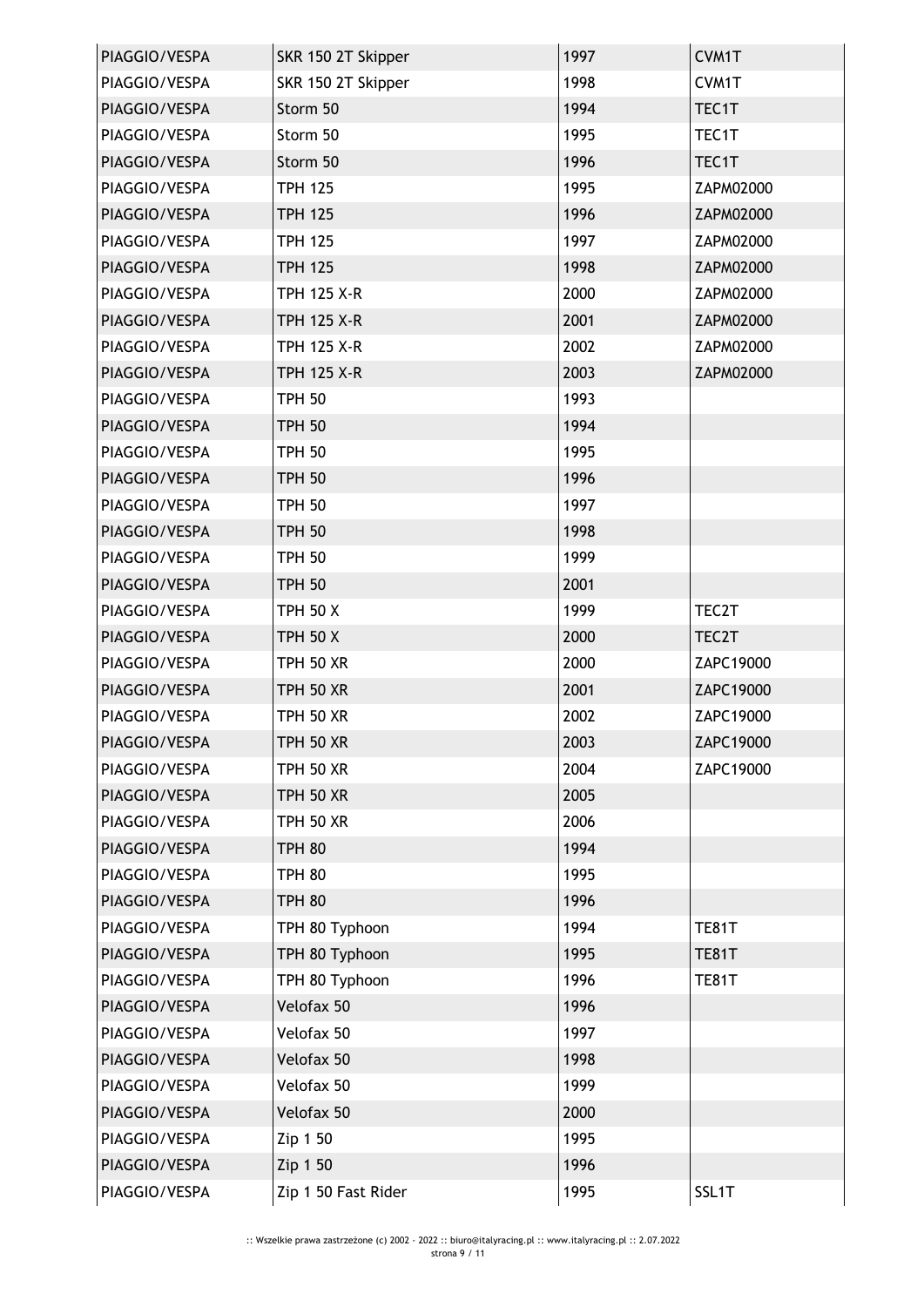| PIAGGIO/VESPA | SKR 150 2T Skipper  | 1997 | CVM1T              |
|---------------|---------------------|------|--------------------|
| PIAGGIO/VESPA | SKR 150 2T Skipper  | 1998 | CVM1T              |
| PIAGGIO/VESPA | Storm 50            | 1994 | TEC1T              |
| PIAGGIO/VESPA | Storm 50            | 1995 | TEC1T              |
| PIAGGIO/VESPA | Storm 50            | 1996 | TEC1T              |
| PIAGGIO/VESPA | <b>TPH 125</b>      | 1995 | ZAPM02000          |
| PIAGGIO/VESPA | <b>TPH 125</b>      | 1996 | ZAPM02000          |
| PIAGGIO/VESPA | <b>TPH 125</b>      | 1997 | ZAPM02000          |
| PIAGGIO/VESPA | <b>TPH 125</b>      | 1998 | ZAPM02000          |
| PIAGGIO/VESPA | <b>TPH 125 X-R</b>  | 2000 | ZAPM02000          |
| PIAGGIO/VESPA | <b>TPH 125 X-R</b>  | 2001 | ZAPM02000          |
| PIAGGIO/VESPA | <b>TPH 125 X-R</b>  | 2002 | ZAPM02000          |
| PIAGGIO/VESPA | <b>TPH 125 X-R</b>  | 2003 | ZAPM02000          |
| PIAGGIO/VESPA | <b>TPH 50</b>       | 1993 |                    |
| PIAGGIO/VESPA | <b>TPH 50</b>       | 1994 |                    |
| PIAGGIO/VESPA | <b>TPH 50</b>       | 1995 |                    |
| PIAGGIO/VESPA | <b>TPH 50</b>       | 1996 |                    |
| PIAGGIO/VESPA | <b>TPH 50</b>       | 1997 |                    |
| PIAGGIO/VESPA | <b>TPH 50</b>       | 1998 |                    |
| PIAGGIO/VESPA | <b>TPH 50</b>       | 1999 |                    |
| PIAGGIO/VESPA | <b>TPH 50</b>       | 2001 |                    |
| PIAGGIO/VESPA | <b>TPH 50 X</b>     | 1999 | TEC2T              |
| PIAGGIO/VESPA | <b>TPH 50 X</b>     | 2000 | TEC <sub>2</sub> T |
| PIAGGIO/VESPA | <b>TPH 50 XR</b>    | 2000 | ZAPC19000          |
| PIAGGIO/VESPA | <b>TPH 50 XR</b>    | 2001 | ZAPC19000          |
| PIAGGIO/VESPA | <b>TPH 50 XR</b>    | 2002 | ZAPC19000          |
| PIAGGIO/VESPA | <b>TPH 50 XR</b>    | 2003 | ZAPC19000          |
| PIAGGIO/VESPA | <b>TPH 50 XR</b>    | 2004 | ZAPC19000          |
| PIAGGIO/VESPA | <b>TPH 50 XR</b>    | 2005 |                    |
| PIAGGIO/VESPA | <b>TPH 50 XR</b>    | 2006 |                    |
| PIAGGIO/VESPA | <b>TPH 80</b>       | 1994 |                    |
| PIAGGIO/VESPA | <b>TPH 80</b>       | 1995 |                    |
| PIAGGIO/VESPA | <b>TPH 80</b>       | 1996 |                    |
| PIAGGIO/VESPA | TPH 80 Typhoon      | 1994 | <b>TE81T</b>       |
| PIAGGIO/VESPA | TPH 80 Typhoon      | 1995 | <b>TE81T</b>       |
| PIAGGIO/VESPA | TPH 80 Typhoon      | 1996 | <b>TE81T</b>       |
| PIAGGIO/VESPA | Velofax 50          | 1996 |                    |
| PIAGGIO/VESPA | Velofax 50          | 1997 |                    |
| PIAGGIO/VESPA | Velofax 50          | 1998 |                    |
| PIAGGIO/VESPA | Velofax 50          | 1999 |                    |
| PIAGGIO/VESPA | Velofax 50          | 2000 |                    |
| PIAGGIO/VESPA | Zip 1 50            | 1995 |                    |
| PIAGGIO/VESPA | Zip 1 50            | 1996 |                    |
| PIAGGIO/VESPA | Zip 1 50 Fast Rider | 1995 | SSL1T              |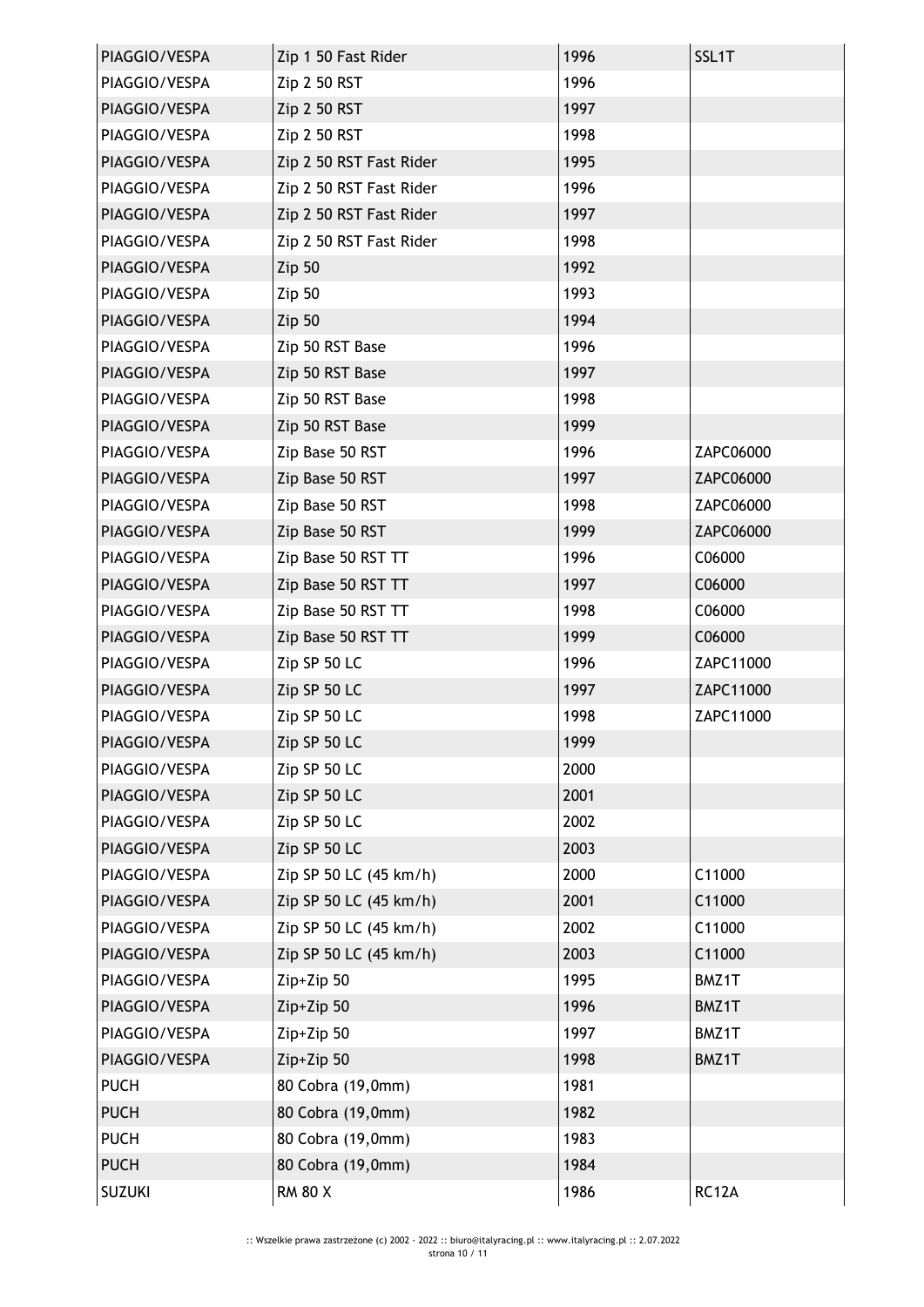| PIAGGIO/VESPA | Zip 1 50 Fast Rider     | 1996 | SSL1T     |
|---------------|-------------------------|------|-----------|
| PIAGGIO/VESPA | Zip 2 50 RST            | 1996 |           |
| PIAGGIO/VESPA | Zip 2 50 RST            | 1997 |           |
| PIAGGIO/VESPA | Zip 2 50 RST            | 1998 |           |
| PIAGGIO/VESPA | Zip 2 50 RST Fast Rider | 1995 |           |
| PIAGGIO/VESPA | Zip 2 50 RST Fast Rider | 1996 |           |
| PIAGGIO/VESPA | Zip 2 50 RST Fast Rider | 1997 |           |
| PIAGGIO/VESPA | Zip 2 50 RST Fast Rider | 1998 |           |
| PIAGGIO/VESPA | Zip 50                  | 1992 |           |
| PIAGGIO/VESPA | <b>Zip 50</b>           | 1993 |           |
| PIAGGIO/VESPA | Zip 50                  | 1994 |           |
| PIAGGIO/VESPA | Zip 50 RST Base         | 1996 |           |
| PIAGGIO/VESPA | Zip 50 RST Base         | 1997 |           |
| PIAGGIO/VESPA | Zip 50 RST Base         | 1998 |           |
| PIAGGIO/VESPA | Zip 50 RST Base         | 1999 |           |
| PIAGGIO/VESPA | Zip Base 50 RST         | 1996 | ZAPC06000 |
| PIAGGIO/VESPA | Zip Base 50 RST         | 1997 | ZAPC06000 |
| PIAGGIO/VESPA | Zip Base 50 RST         | 1998 | ZAPC06000 |
| PIAGGIO/VESPA | Zip Base 50 RST         | 1999 | ZAPC06000 |
| PIAGGIO/VESPA | Zip Base 50 RST TT      | 1996 | C06000    |
| PIAGGIO/VESPA | Zip Base 50 RST TT      | 1997 | C06000    |
| PIAGGIO/VESPA | Zip Base 50 RST TT      | 1998 | C06000    |
| PIAGGIO/VESPA | Zip Base 50 RST TT      | 1999 | C06000    |
| PIAGGIO/VESPA | Zip SP 50 LC            | 1996 | ZAPC11000 |
| PIAGGIO/VESPA | Zip SP 50 LC            | 1997 | ZAPC11000 |
| PIAGGIO/VESPA | Zip SP 50 LC            | 1998 | ZAPC11000 |
| PIAGGIO/VESPA | Zip SP 50 LC            | 1999 |           |
| PIAGGIO/VESPA | Zip SP 50 LC            | 2000 |           |
| PIAGGIO/VESPA | Zip SP 50 LC            | 2001 |           |
| PIAGGIO/VESPA | Zip SP 50 LC            | 2002 |           |
| PIAGGIO/VESPA | Zip SP 50 LC            | 2003 |           |
| PIAGGIO/VESPA | Zip SP 50 LC (45 km/h)  | 2000 | C11000    |
| PIAGGIO/VESPA | Zip SP 50 LC (45 km/h)  | 2001 | C11000    |
| PIAGGIO/VESPA | Zip SP 50 LC (45 km/h)  | 2002 | C11000    |
| PIAGGIO/VESPA | Zip SP 50 LC (45 km/h)  | 2003 | C11000    |
| PIAGGIO/VESPA | Zip+Zip 50              | 1995 | BMZ1T     |
| PIAGGIO/VESPA | Zip+Zip 50              | 1996 | BMZ1T     |
| PIAGGIO/VESPA | Zip+Zip 50              | 1997 | BMZ1T     |
| PIAGGIO/VESPA | Zip+Zip 50              | 1998 | BMZ1T     |
| <b>PUCH</b>   | 80 Cobra (19,0mm)       | 1981 |           |
| <b>PUCH</b>   | 80 Cobra (19,0mm)       | 1982 |           |
| <b>PUCH</b>   | 80 Cobra (19,0mm)       | 1983 |           |
| <b>PUCH</b>   | 80 Cobra (19,0mm)       | 1984 |           |
| <b>SUZUKI</b> | <b>RM 80 X</b>          | 1986 | RC12A     |